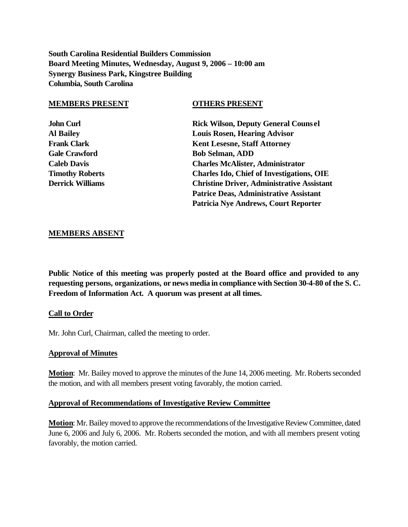**South Carolina Residential Builders Commission Board Meeting Minutes, Wednesday, August 9, 2006 – 10:00 am Synergy Business Park, Kingstree Building Columbia, South Carolina**

#### **MEMBERS PRESENT OTHERS PRESENT**

**John Curl Rick Wilson, Deputy General Counsel Al Bailey Louis Rosen, Hearing Advisor Frank Clark Kent Lesesne, Staff Attorney Gale Crawford Bob Selman, ADD Caleb Davis Charles McAlister, Administrator Timothy Roberts Charles Ido, Chief of Investigations, OIE Derrick Williams Christine Driver, Administrative Assistant Patrice Deas, Administrative Assistant Patricia Nye Andrews, Court Reporter**

#### **MEMBERS ABSENT**

**Public Notice of this meeting was properly posted at the Board office and provided to any requesting persons, organizations, or news media in compliance with Section 30-4-80 of the S. C. Freedom of Information Act. A quorum was present at all times.**

#### **Call to Order**

Mr. John Curl, Chairman, called the meeting to order.

#### **Approval of Minutes**

**Motion**: Mr. Bailey moved to approve the minutes of the June 14, 2006 meeting. Mr. Roberts seconded the motion, and with all members present voting favorably, the motion carried.

#### **Approval of Recommendations of Investigative Review Committee**

**Motion**: Mr. Bailey moved to approve the recommendations of the Investigative Review Committee, dated June 6, 2006 and July 6, 2006. Mr. Roberts seconded the motion, and with all members present voting favorably, the motion carried.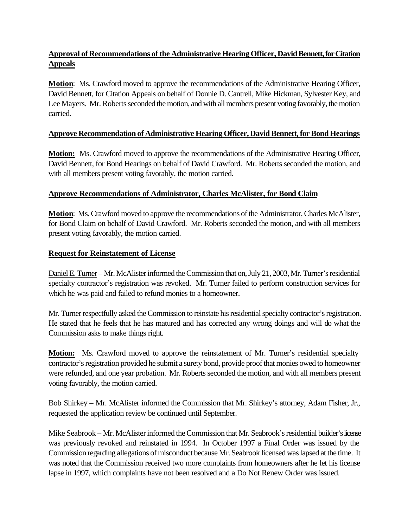# **Approval of Recommendations of the Administrative Hearing Officer, David Bennett, for Citation Appeals**

**Motion**: Ms. Crawford moved to approve the recommendations of the Administrative Hearing Officer, David Bennett, for Citation Appeals on behalf of Donnie D. Cantrell, Mike Hickman, Sylvester Key, and Lee Mayers. Mr. Roberts seconded the motion, and with all members present voting favorably, the motion carried.

# **Approve Recommendation of Administrative Hearing Officer, David Bennett, for Bond Hearings**

**Motion:** Ms. Crawford moved to approve the recommendations of the Administrative Hearing Officer, David Bennett, for Bond Hearings on behalf of David Crawford. Mr. Roberts seconded the motion, and with all members present voting favorably, the motion carried.

## **Approve Recommendations of Administrator, Charles McAlister, for Bond Claim**

**Motion**: Ms. Crawford moved to approve the recommendations of the Administrator, Charles McAlister, for Bond Claim on behalf of David Crawford. Mr. Roberts seconded the motion, and with all members present voting favorably, the motion carried.

## **Request for Reinstatement of License**

Daniel E. Turner – Mr. McAlister informed the Commission that on, July 21, 2003, Mr. Turner's residential specialty contractor's registration was revoked. Mr. Turner failed to perform construction services for which he was paid and failed to refund monies to a homeowner.

Mr. Turner respectfully asked the Commission to reinstate his residential specialty contractor's registration. He stated that he feels that he has matured and has corrected any wrong doings and will do what the Commission asks to make things right.

**Motion:** Ms. Crawford moved to approve the reinstatement of Mr. Turner's residential specialty contractor's registration provided he submit a surety bond, provide proof that monies owed to homeowner were refunded, and one year probation. Mr. Roberts seconded the motion, and with all members present voting favorably, the motion carried.

Bob Shirkey – Mr. McAlister informed the Commission that Mr. Shirkey's attorney, Adam Fisher, Jr., requested the application review be continued until September.

Mike Seabrook – Mr. McAlister informed the Commission that Mr. Seabrook's residential builder's license was previously revoked and reinstated in 1994. In October 1997 a Final Order was issued by the Commission regarding allegations of misconduct because Mr. Seabrook licensed was lapsed at the time. It was noted that the Commission received two more complaints from homeowners after he let his license lapse in 1997, which complaints have not been resolved and a Do Not Renew Order was issued.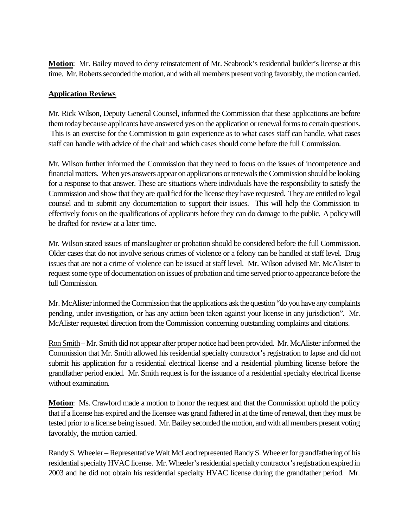**Motion**: Mr. Bailey moved to deny reinstatement of Mr. Seabrook's residential builder's license at this time. Mr. Roberts seconded the motion, and with all members present voting favorably, the motion carried.

## **Application Reviews**

Mr. Rick Wilson, Deputy General Counsel, informed the Commission that these applications are before them today because applicants have answered yes on the application or renewal forms to certain questions. This is an exercise for the Commission to gain experience as to what cases staff can handle, what cases staff can handle with advice of the chair and which cases should come before the full Commission.

Mr. Wilson further informed the Commission that they need to focus on the issues of incompetence and financial matters. When yes answers appear on applications or renewals the Commission should be looking for a response to that answer. These are situations where individuals have the responsibility to satisfy the Commission and show that they are qualified for the license they have requested. They are entitled to legal counsel and to submit any documentation to support their issues. This will help the Commission to effectively focus on the qualifications of applicants before they can do damage to the public. A policy will be drafted for review at a later time.

Mr. Wilson stated issues of manslaughter or probation should be considered before the full Commission. Older cases that do not involve serious crimes of violence or a felony can be handled at staff level. Drug issues that are not a crime of violence can be issued at staff level. Mr. Wilson advised Mr. McAlister to request some type of documentation on issues of probation and time served prior to appearance before the full Commission.

Mr. McAlister informed the Commission that the applications ask the question "do you have any complaints pending, under investigation, or has any action been taken against your license in any jurisdiction". Mr. McAlister requested direction from the Commission concerning outstanding complaints and citations.

Ron Smith– Mr. Smith did not appear after proper notice had been provided. Mr. McAlister informed the Commission that Mr. Smith allowed his residential specialty contractor's registration to lapse and did not submit his application for a residential electrical license and a residential plumbing license before the grandfather period ended. Mr. Smith request is for the issuance of a residential specialty electrical license without examination.

**Motion**: Ms. Crawford made a motion to honor the request and that the Commission uphold the policy that if a license has expired and the licensee was grand fathered in at the time of renewal, then they must be tested prior to a license being issued. Mr. Bailey seconded the motion, and with all members present voting favorably, the motion carried.

Randy S. Wheeler – Representative Walt McLeod represented Randy S. Wheeler for grandfathering of his residential specialty HVAC license. Mr. Wheeler's residential specialty contractor's registration expired in 2003 and he did not obtain his residential specialty HVAC license during the grandfather period. Mr.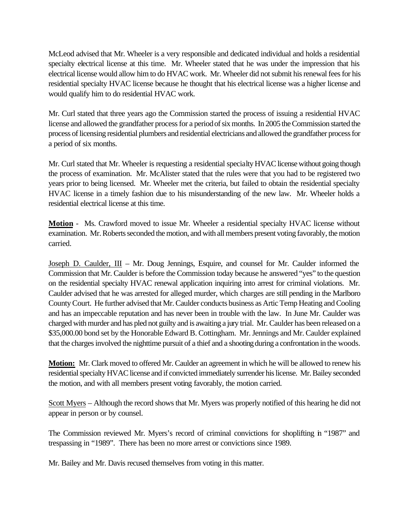McLeod advised that Mr. Wheeler is a very responsible and dedicated individual and holds a residential specialty electrical license at this time. Mr. Wheeler stated that he was under the impression that his electrical license would allow him to do HVAC work. Mr. Wheeler did not submit his renewal fees for his residential specialty HVAC license because he thought that his electrical license was a higher license and would qualify him to do residential HVAC work.

Mr. Curl stated that three years ago the Commission started the process of issuing a residential HVAC license and allowed the grandfather process for a period of six months. In 2005 the Commission started the process of licensing residential plumbers and residential electricians and allowed the grandfather process for a period of six months.

Mr. Curl stated that Mr. Wheeler is requesting a residential specialty HVAC license without going though the process of examination. Mr. McAlister stated that the rules were that you had to be registered two years prior to being licensed. Mr. Wheeler met the criteria, but failed to obtain the residential specialty HVAC license in a timely fashion due to his misunderstanding of the new law. Mr. Wheeler holds a residential electrical license at this time.

**Motion** - Ms. Crawford moved to issue Mr. Wheeler a residential specialty HVAC license without examination. Mr. Roberts seconded the motion, and with all members present voting favorably, the motion carried.

Joseph D. Caulder, III – Mr. Doug Jennings, Esquire, and counsel for Mr. Caulder informed the Commission that Mr. Caulder is before the Commission today because he answered "yes" to the question on the residential specialty HVAC renewal application inquiring into arrest for criminal violations. Mr. Caulder advised that he was arrested for alleged murder, which charges are still pending in the Marlboro County Court. He further advised that Mr. Caulder conducts business as Artic Temp Heating and Cooling and has an impeccable reputation and has never been in trouble with the law. In June Mr. Caulder was charged with murder and has pled not guilty and is awaiting a jury trial. Mr. Caulder has been released on a \$35,000.00 bond set by the Honorable Edward B. Cottingham. Mr. Jennings and Mr. Caulder explained that the charges involved the nighttime pursuit of a thief and a shooting during a confrontation in the woods.

**Motion:** Mr. Clark moved to offered Mr. Caulder an agreement in which he will be allowed to renew his residential specialty HVAC license and if convicted immediately surrender his license. Mr. Bailey seconded the motion, and with all members present voting favorably, the motion carried.

Scott Myers – Although the record shows that Mr. Myers was properly notified of this hearing he did not appear in person or by counsel.

The Commission reviewed Mr. Myers's record of criminal convictions for shoplifting in "1987" and trespassing in "1989". There has been no more arrest or convictions since 1989.

Mr. Bailey and Mr. Davis recused themselves from voting in this matter.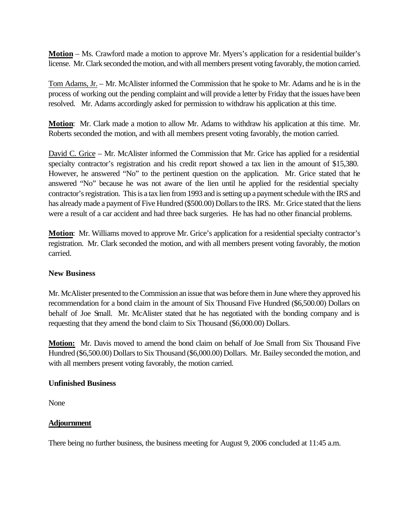**Motion** – Ms. Crawford made a motion to approve Mr. Myers's application for a residential builder's license. Mr. Clark seconded the motion, and with all members present voting favorably, the motion carried.

Tom Adams, Jr. – Mr. McAlister informed the Commission that he spoke to Mr. Adams and he is in the process of working out the pending complaint and will provide a letter by Friday that the issues have been resolved. Mr. Adams accordingly asked for permission to withdraw his application at this time.

**Motion**: Mr. Clark made a motion to allow Mr. Adams to withdraw his application at this time. Mr. Roberts seconded the motion, and with all members present voting favorably, the motion carried.

David C. Grice – Mr. McAlister informed the Commission that Mr. Grice has applied for a residential specialty contractor's registration and his credit report showed a tax lien in the amount of \$15,380. However, he answered "No" to the pertinent question on the application. Mr. Grice stated that he answered "No" because he was not aware of the lien until he applied for the residential specialty contractor's registration. This is a tax lien from 1993 and is setting up a payment schedule with the IRS and has already made a payment of Five Hundred (\$500.00) Dollars to the IRS. Mr. Grice stated that the liens were a result of a car accident and had three back surgeries. He has had no other financial problems.

**Motion**: Mr. Williams moved to approve Mr. Grice's application for a residential specialty contractor's registration. Mr. Clark seconded the motion, and with all members present voting favorably, the motion carried.

## **New Business**

Mr. McAlister presented to the Commission an issue that was before them in June where they approved his recommendation for a bond claim in the amount of Six Thousand Five Hundred (\$6,500.00) Dollars on behalf of Joe Small. Mr. McAlister stated that he has negotiated with the bonding company and is requesting that they amend the bond claim to Six Thousand (\$6,000.00) Dollars.

**Motion:** Mr. Davis moved to amend the bond claim on behalf of Joe Small from Six Thousand Five Hundred (\$6,500.00) Dollars to Six Thousand (\$6,000.00) Dollars. Mr. Bailey seconded the motion, and with all members present voting favorably, the motion carried.

## **Unfinished Business**

None

## **Adjournment**

There being no further business, the business meeting for August 9, 2006 concluded at 11:45 a.m.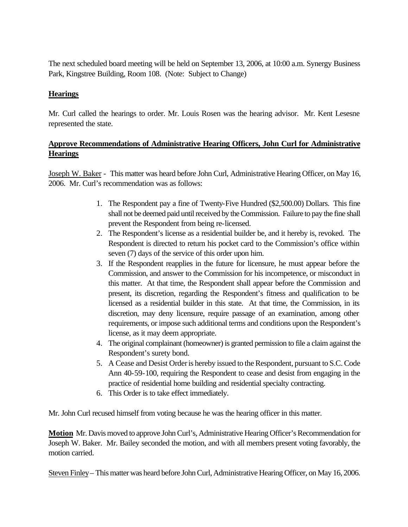The next scheduled board meeting will be held on September 13, 2006, at 10:00 a.m. Synergy Business Park, Kingstree Building, Room 108. (Note: Subject to Change)

## **Hearings**

Mr. Curl called the hearings to order. Mr. Louis Rosen was the hearing advisor. Mr. Kent Lesesne represented the state.

# **Approve Recommendations of Administrative Hearing Officers, John Curl for Administrative Hearings**

Joseph W. Baker - This matter was heard before John Curl, Administrative Hearing Officer, on May 16, 2006. Mr. Curl's recommendation was as follows:

- 1. The Respondent pay a fine of Twenty-Five Hundred (\$2,500.00) Dollars. This fine shall not be deemed paid until received by the Commission. Failure to pay the fine shall prevent the Respondent from being re-licensed.
- 2. The Respondent's license as a residential builder be, and it hereby is, revoked. The Respondent is directed to return his pocket card to the Commission's office within seven (7) days of the service of this order upon him.
- 3. If the Respondent reapplies in the future for licensure, he must appear before the Commission, and answer to the Commission for his incompetence, or misconduct in this matter. At that time, the Respondent shall appear before the Commission and present, its discretion, regarding the Respondent's fitness and qualification to be licensed as a residential builder in this state. At that time, the Commission, in its discretion, may deny licensure, require passage of an examination, among other requirements, or impose such additional terms and conditions upon the Respondent's license, as it may deem appropriate.
- 4. The original complainant (homeowner) is granted permission to file a claim against the Respondent's surety bond.
- 5. A Cease and Desist Order is hereby issued to the Respondent, pursuant to S.C. Code Ann 40-59-100, requiring the Respondent to cease and desist from engaging in the practice of residential home building and residential specialty contracting.
- 6. This Order is to take effect immediately.

Mr. John Curl recused himself from voting because he was the hearing officer in this matter.

**Motion** Mr. Davis moved to approve John Curl's, Administrative Hearing Officer's Recommendation for Joseph W. Baker. Mr. Bailey seconded the motion, and with all members present voting favorably, the motion carried.

Steven Finley– This matter was heard before John Curl, Administrative Hearing Officer, on May 16, 2006.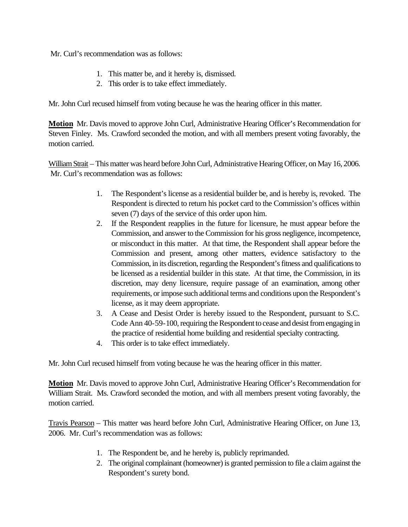Mr. Curl's recommendation was as follows:

- 1. This matter be, and it hereby is, dismissed.
- 2. This order is to take effect immediately.

Mr. John Curl recused himself from voting because he was the hearing officer in this matter.

**Motion** Mr. Davis moved to approve John Curl, Administrative Hearing Officer's Recommendation for Steven Finley. Ms. Crawford seconded the motion, and with all members present voting favorably, the motion carried.

William Strait – This matter was heard before John Curl, Administrative Hearing Officer, on May 16, 2006. Mr. Curl's recommendation was as follows:

- 1. The Respondent's license as a residential builder be, and is hereby is, revoked. The Respondent is directed to return his pocket card to the Commission's offices within seven (7) days of the service of this order upon him.
- 2. If the Respondent reapplies in the future for licensure, he must appear before the Commission, and answer to the Commission for his gross negligence, incompetence, or misconduct in this matter. At that time, the Respondent shall appear before the Commission and present, among other matters, evidence satisfactory to the Commission, in its discretion, regarding the Respondent's fitness and qualifications to be licensed as a residential builder in this state. At that time, the Commission, in its discretion, may deny licensure, require passage of an examination, among other requirements, or impose such additional terms and conditions upon the Respondent's license, as it may deem appropriate.
- 3. A Cease and Desist Order is hereby issued to the Respondent, pursuant to S.C. Code Ann 40-59-100, requiring the Respondent to cease and desist from engaging in the practice of residential home building and residential specialty contracting.
- 4. This order is to take effect immediately.

Mr. John Curl recused himself from voting because he was the hearing officer in this matter.

**Motion** Mr. Davis moved to approve John Curl, Administrative Hearing Officer's Recommendation for William Strait. Ms. Crawford seconded the motion, and with all members present voting favorably, the motion carried.

Travis Pearson – This matter was heard before John Curl, Administrative Hearing Officer, on June 13, 2006. Mr. Curl's recommendation was as follows:

- 1. The Respondent be, and he hereby is, publicly reprimanded.
- 2. The original complainant (homeowner) is granted permission to file a claim against the Respondent's surety bond.